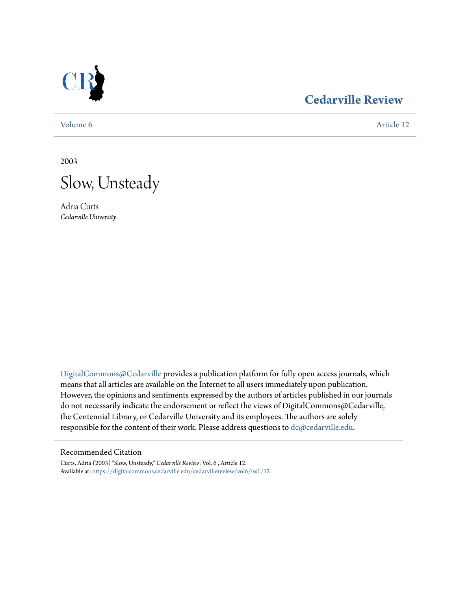

### **[Cedarville Review](https://digitalcommons.cedarville.edu/cedarvillereview?utm_source=digitalcommons.cedarville.edu%2Fcedarvillereview%2Fvol6%2Fiss1%2F12&utm_medium=PDF&utm_campaign=PDFCoverPages)**

[Volume 6](https://digitalcommons.cedarville.edu/cedarvillereview/vol6?utm_source=digitalcommons.cedarville.edu%2Fcedarvillereview%2Fvol6%2Fiss1%2F12&utm_medium=PDF&utm_campaign=PDFCoverPages) [Article 12](https://digitalcommons.cedarville.edu/cedarvillereview/vol6/iss1/12?utm_source=digitalcommons.cedarville.edu%2Fcedarvillereview%2Fvol6%2Fiss1%2F12&utm_medium=PDF&utm_campaign=PDFCoverPages)

2003



Adria Curts *Cedarville University*

[DigitalCommons@Cedarville](http://digitalcommons.cedarville.edu) provides a publication platform for fully open access journals, which means that all articles are available on the Internet to all users immediately upon publication. However, the opinions and sentiments expressed by the authors of articles published in our journals do not necessarily indicate the endorsement or reflect the views of DigitalCommons@Cedarville, the Centennial Library, or Cedarville University and its employees. The authors are solely responsible for the content of their work. Please address questions to [dc@cedarville.edu](mailto:dc@cedarville.edu).

#### Recommended Citation

Curts, Adria (2003) "Slow, Unsteady," *Cedarville Review*: Vol. 6 , Article 12. Available at: [https://digitalcommons.cedarville.edu/cedarvillereview/vol6/iss1/12](https://digitalcommons.cedarville.edu/cedarvillereview/vol6/iss1/12?utm_source=digitalcommons.cedarville.edu%2Fcedarvillereview%2Fvol6%2Fiss1%2F12&utm_medium=PDF&utm_campaign=PDFCoverPages)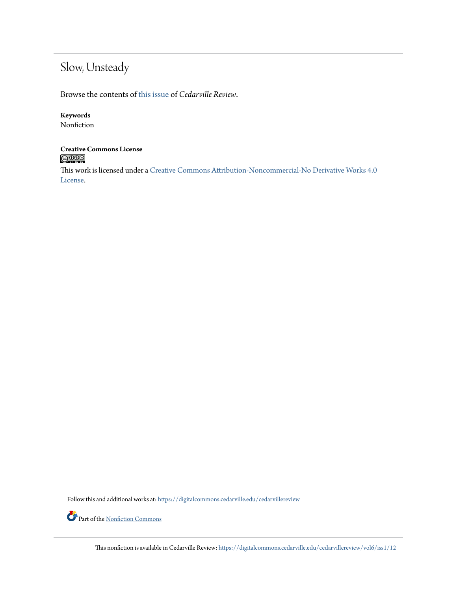## Slow, Unsteady

Browse the contents of [this issue](https://digitalcommons.cedarville.edu/cedarvillereview/vol6/iss1) of *Cedarville Review*.

#### **Keywords**

Nonfiction

# **Creative Commons License**<br> **C** 000

This work is licensed under a [Creative Commons Attribution-Noncommercial-No Derivative Works 4.0](http://creativecommons.org/licenses/by-nc-nd/4.0/) [License.](http://creativecommons.org/licenses/by-nc-nd/4.0/)

Follow this and additional works at: [https://digitalcommons.cedarville.edu/cedarvillereview](https://digitalcommons.cedarville.edu/cedarvillereview?utm_source=digitalcommons.cedarville.edu%2Fcedarvillereview%2Fvol6%2Fiss1%2F12&utm_medium=PDF&utm_campaign=PDFCoverPages)

Part of the <u>[Nonfiction Commons](http://network.bepress.com/hgg/discipline/1152?utm_source=digitalcommons.cedarville.edu%2Fcedarvillereview%2Fvol6%2Fiss1%2F12&utm_medium=PDF&utm_campaign=PDFCoverPages)</u>

This nonfiction is available in Cedarville Review: [https://digitalcommons.cedarville.edu/cedarvillereview/vol6/iss1/12](https://digitalcommons.cedarville.edu/cedarvillereview/vol6/iss1/12?utm_source=digitalcommons.cedarville.edu%2Fcedarvillereview%2Fvol6%2Fiss1%2F12&utm_medium=PDF&utm_campaign=PDFCoverPages)